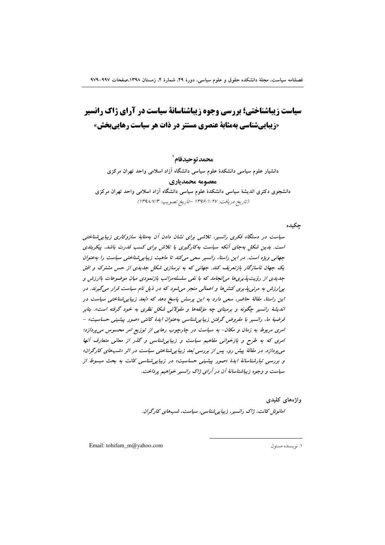# سیاست زیباشناختی؛ بررسی وجوه زیباشناسانهٔ سیاست در آرای ژاک رانسیر «زیباییشناسی بهمثابهٔ عنصری مستتر در ذات هر سیاست رهاییبخش»

محمدتوحيدفام `

دانشیار علوم سیاسی دانشکدهٔ علوم سیاسی دانشگاه آزاد اسلامی واحد تهران مرکزی معصومه محمدياري دانشجوی دکتری اندیشهٔ سیاسی دانشکدهٔ علوم سیاسی دانشگاه آزاد اسلامی واحد تهران مرکزی (تاريخ دريافت: ١٣٩۶/١/٢٧ -تاريخ تصويب: ١٣٩٨/٧/٣)

حكىدە

سیاست در دستگاه فکری رانسیر، تلاشی برای نشان دادن آن به شابهٔ سازوکاری زیبایی شناختی است. بدین شکل بهجای آنکه سیاست بهکارگیری یا تلاش برای کسب قدرت باشد، پیکربندی جهانی ویژه است. در این راستا، رانسیر سعی می کند تا ماهیت زیبایی شناختی سیاست را به عنوان یک جهان ناسازگار بازتعریف کند. جهانی که به پرسازی شکل جدیدی از حس مشترک و افق جدیدی از رؤیت پذیری ها می انجامد که با نفی سلسلهمراتب بازنمودی میان موضوعات باارزش و برارزش به مرئی پذیری کنش ها و اعمالی منجر می شود که در ذیل نام سیاست قرار می گیرند. در این راستا، مقالهٔ حاضر، سعی دارد به این پرسش پاسخ دهد که «نَعِد زیباییشناختی سیاست در اندیشهٔ رانسیر چگونه و برمبنای چه مؤلفهها و مقولاتی شکل نظری به خود گرفته است». بنابر فرضيةً ما، رانسير با مفروض گرفتن زيبايي شناسي به عنوان ايدهٔ كانتي «صور پيشيني حساسيت» -امری مربوط به زمان و مکان- به سیاست در چارچوب رهایی از توزیع امر محسوس می پردازد؛ امری که به طرح و بازخوانی مفاهیم سیاست و زیبایی شناسی و گذر از معانی متعارف آنها می پردازد. در مقالهٔ پیش رو، پس از بررسی بُعد زیبایی شناختی سیاست در اثر «شبهای کارگران» و بررسی تبارشناسانهٔ ایدهٔ «صور پیشینی حساسیت» در زیبایی شناسی کانت به بحث مبسوط از سیاست و وجوه زیباشناسانهٔ آن در آرای ژاک رانسیر خواهیم پرداخت.

> واژەهای كليدى امانوئل كانت، ژاك رانسير، زيبايي شناسي، سياست، شب هاي كارگران.

Email: tohifam\_m@yahoo.com

۱. نویسنده مسئول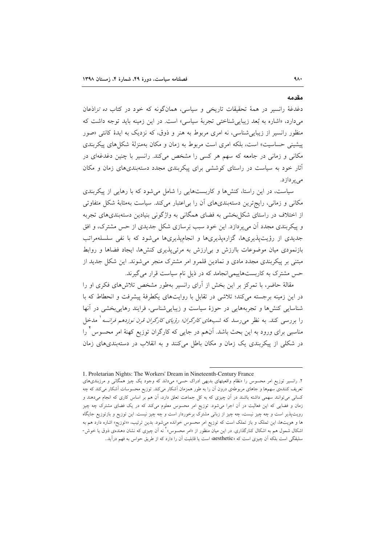دغدغهٔ رانسیر در همهٔ تحقیقات تاریخی و سیاسی، همانگونه که خود در کتاب ده تراذعان میدارد، «اشاره به بُعد زیبایی شناختی تجربهٔ سیاسی» است. در این زمینه باید توجه داشت که منظور رانسیر از زیبایی شناسی، نه امری مربوط به هنر و ذوق، که نزدیک به ایدهٔ کانتی «صور پیشینی حساسیت» است، بلکه امری است مربوط به زمان و مکان بهمنزلهٔ شکل های پیکربندی مکانی و زمانی در جامعه که سهم هر کسی را مشخص میکند. رانسیر با چنین دغدغهای در آثار خود به سیاست در راستای کوششی برای پیکربندی مجدد دستهبندیهای زمان و مکان مى پردازد.

سیاست، در این راستا، کنشها و کاربستهایی را شامل می شود که با رهایی از پیکربندی مکانی و زمانی، رایج ترین دستهبندیهای آن را بی|عتبار میکند. سیاست بهمثابهٔ شکل متفاوتی از اختلاف در راستای شکل بخشی به فضای همگانی به واژگونی بنیادین دستهبندیهای تجربه و پیکربندی مجدد آن می پردازد. این خود سبب بَرسازی شکل جدیدی از حس مشترک، و افق جدیدی از رؤیتپذیریها، گزارهپذیریها و انجامپذیریها میشود که با نفی سلسلهمراتب بازنمودی میان موضوعات باارزش و بی|رزش به مرئیپذیری کنشها، ایجاد فضاها و روابط مبتنی بر پیکربندی مجدد مادی و نمادین قلمرو امر مشترک منجر میشوند. این شکل جدید از حس مشترک به کاربستهاییمی انجامد که در ذیل نام سیاست قرار می گیرند.

مقالهٔ حاضر، با تمرکز بر این بخش از آرای رانسیر بهطور مشخص تلاشهای فکری او را در این زمینه برجسته میکند؛ تلاشی در تقابل با روایتهای یکطرفهٔ پیشرفت و انحطاط که با شناسایی کنشها و تجربههایی در حوزهٔ سیاست و زیباییشناسی، فرایند رهاییبخشی در آنها را بررسی کند. به نظر می رسد که *شبهای کارگران؛ رؤیای کارگران قرن نوزدهم فرانسه* ۵ مدخل مناسبی برای ورود به این بحث باشد. آنهم در جایی که کارگران توزیع کهنهٔ امر محسوس ٰ را در شکلی از پیکربندی یک زمان و مکان باطل میکنند و به انقلاب در دستهبندیهای زمان

مقدمه

<sup>1.</sup> Proletarian Nights: The Workers' Dream in Nineteenth-Century France

۲. رانسیر توزیع امر محسوس را «نظام واقعیتهای بدیهی ادراک حسی» میداند که وجود یک چیز همگانی و مرزبندیهای تعریف کنندهی سهمها و جاهای مربوطهی درون آن را به طور همزمان آشکار میکند. توزیع محسوسات آشکار میکند که چه کسانی میتوانند سهمی داشته باشند در آن چیزی که به کل جماعت تعلق دارد، آن هم بر اساس کاری که انجام میدهند و زمان و فضایی که این فعالیت در اَن اجرا میشود. توزیع امر محسوس معلوم میکند که در یک فضای مشترک چه چیز رویتپذیر است و چه چیز نیست، چه چیز از زبانی مشترک برخوردار است و چه چیز نیست. این توزیع و بازتوزیع جایگاه ها و هویتها، این تملک و باز تملک است که توزیع امر محسوس خوانده میشود. بدین ترتیب، «توزیع» اشاره دارد هم به اشکال شمول هم به اشکال کنارگذاری. در این میان منظور از «امر محسوس»<sup>۲</sup> نه اَن چیزی که نشان دهندهی ذوق یا خوش-سلیقگی است بلکه اَن چیزی است که «aesthetic» است یا قابلیت اَن را دارد که از طریق حواس به فهم دراًید..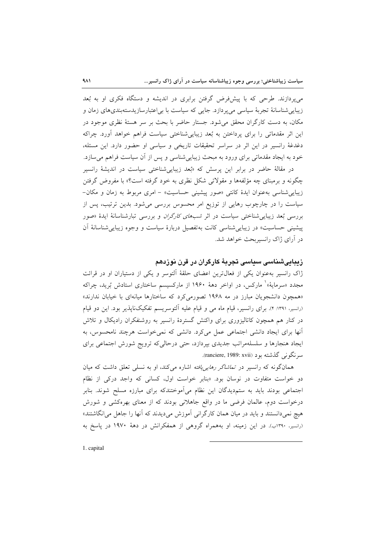می پردازند. طرحی که با پیشفرض گرفتن برابری در اندیشه و دستگاه فکری او به بُعد زیبایی شناسانهٔ تجربهٔ سیاسی می پردازد. جایی که سیاست با بی اعتبار سازیدستهبندیهای زمان و مکان، به دست کارگران محقق می شود. جستار حاضر با بحث بر سر هستهٔ نظری موجود در این اثر مقدماتی را برای پرداختن به بُعد زیباییشناختی سیاست فراهم خواهد أورد. چراکه دغدغهٔ رانسیر در این اثر در سراسر تحقیقات تاریخی و سیاسی او حضور دارد. این مسئله، خود به ایجاد مقدماتی برای ورود به مبحث زیبایی شناسی و پس از آن سیاست فراهم می سازد.

در مقالهٔ حاضر در برابر این پرسش که «بُعد زیباییشناختی سیاست در اندیشهٔ رانسیر چگونه و برمبنای چه مؤلفهها و مقولاتی شکل نظری به خود گرفته است؟» با مفروض گرفتن زیبایی شناسی به عنوان ایدهٔ کانتی «صور پیشینی حساسیت» - امری مربوط به زمان و مکان-سیاست را در چارچوب رهایی از توزیع امر محسوس بررسی می شود. بدین ترتیب، پس از بررسی بُعد زیباییشناختی سیاست در اثر *شبهای کارگران* و بررسی تبارشناسانهٔ ایدهٔ «صور پیشینی حساسیت» در زیبایی شناسی کانت به تفصیل دربارهٔ سیاست و وجوه زیبایی شناسانهٔ آن در آرای ژاک رانسیربحث خواهد شد.

## زیباییشناسی سیاسی تجربهٔ کارگران در قرن نوزدهم

ژاک رانسیر بهعنوان یکی از فعالترین اعضای حلقهٔ اَلتوسر و یکی از دستیاران او در قرائت مجدد «سرمایهٔ»<sup>۱</sup> مارکس، در اواخر دههٔ ۱۹۶۰ از مارکسیسم ساختاری استادش بُرید، چراکه «همچون دانشجویان مبارز در مه ۱۹۶۸ تصورمی کرد که ساختارها میانهای با خیابان ندارند» (رانسیر، ۱۳۹۱: ۴). برای رانسیر، قیام ماه می و قیام علیه آلتوسریسم تفکیکناپذیر بود. این دو قیام در کنار هم همچون کاتالیزوری برای واکنش گستردهٔ رانسیر به روشنفکران رادیکال و تلاش آنها برای ایجاد دانشی اجتماعی عمل میکرد. دانشی که نمیخواست هرچند نامحسوس، به ایجاد هنجارها و سلسلهمراتب جدیدی بپردازد، حتی درحالی که ترویج شورش اجتماعی برای سرنگونی گذشته بود (ranciere, 1989: xvii).

همانگونه که رانسیر در تم*اشاگر رهایی یافته* اشاره میکند، او به نسل<sub>ی</sub> تعلق داشت که میان دو خواست متفاوت در نوسان بود. «بنابر خواست اول، كسانى كه واجد دركى از نظام اجتماعی بودند باید به ستمدیدگان این نظام میآموختندکه برای مبارزه مسلح شوند. بنابر درخواست دوم، عالمان فرضی ما در واقع جاهلانی بودند که از معنای بهرهکشی و شورش هیچ نمی،دانستند و باید در میان همان کارگرانی آموزش می،دیدند که آنها را جاهل می انگاشتند» (رانسیر، ۱۳۹۰ب). در این زمینه، او بههمراه گروهی از همفکرانش در دههٔ ۱۹۷۰ در پاسخ به

1. capital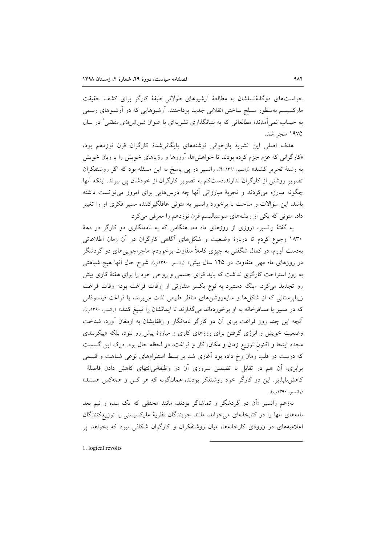خواستهای دوگانهٔنسلشان به مطالعهٔ آرشیوهای طولانی طبقهٔ کارگر برای کشف حقیقت مارکسیسم بهمنظور مسلح ساختن انقلابی جدید یرداختند. آرشیوهایی که در آرشیوهای رسمی به حساب نمی آمدند؛ مطالعاتی که به بنیانگذاری نشریهای با عنوان *شورشهای منطقی* ٰ در سال ۱۹۷۵ منحر شد.

هدف اصلی این نشریه بازخوانی نوشتههای بایگانی شدهٔ کارگران قرن نوزدهم بود، «کارگرانی که عزم جزم کرده بودند تا خواهشها، آرزوها و رؤیاهای خویش را با زبان خویش به رشتهٔ تحریر کشند» (رانسیر۱۳۹۱: ۴). رانسیر در پی پاسخ به این مسئله بود که اگر روشنفکران تصویر روشنی از کارگران ندارند،دستکم به تصویر کارگران از خودشان پی ببرند. اینکه آنها چگونه مبارزه میکردند و تجربهٔ مبارزاتی آنها چه درسهایی برای امروز میتوانست داشته باشد. این سؤالات و مباحث با برخورد رانسیر به متونی غافلگیرکننده مسیر فکری او را تغییر داد، متونی که یکی از ریشههای سوسیالیسم قرن نوزدهم را معرفی می کرد.

به گفتهٔ رانسیر، «روزی از روزهای ماه مه، هنگامی که به نامهنگاری دو کارگر در دههٔ ۱۸۳۰ رجوع کردم تا دربارهٔ وضعیت و شکلهای آگاهی کارگران در آن زمان اطلاعاتی بهدست آورم، در کمال شگفتی به چیزی کاملاً متفاوت برخوردم: ماجراجویی۵های دو گردشگر در روزهای ماه مهی متفاوت در ۱۴۵ سال پیش» (رانسیر، ۱۳۹۰ب). شرح حال آنها هیچ شباهتی به روز استراحت کارگری نداشت که باید قوای جسمی و روحی خود را برای هفتهٔ کاری پیش رو تجدید می کرد، «بلکه دستبرد به نوع یکسر متفاوتی از اوقات فراغت بود؛ اوقات فراغت زیباپرستانی که از شکلها و سایهروشنهای مناظر طبیعی لذت می برند، یا فراغت فیلسوفانی که در مسیر یا مسافرخانه به او برخوردهاند میگذارند تا ایمانشان را تبلیغ کنند» (رانسیر، ۱۳۹۰ب). آنچه این چند روز فراغت برای آن دو کارگر نامهنگار و رفقایشان به ارمغان آورد، شناخت وضعیت خویش و انرژی گرفتن برای روزهای کاری و مبارزهٔ پیش رو نبود، بلکه «پیکربندی مجدد اینجا و اکنون توزیع زمان و مکان، کار و فراغت، در لحظه حال بود. درک این گسست که درست در قلب زمان رخ داده بود آغازی شد بر بسط استلزامهای نوعی شباهت و قسمی برابری، آن هم در تقابل با تضمین سروری آن در وظیفهٔبی\نتهای کاهش دادن فاصلهٔ کاهش نایذیر. این دو کارگر خود روشنفکر بودند، همانگونه که هر کس و همهکس هستند» (رانسير، ١٣٩٠ب).

بهزعم رانسیر «اَن دو گردشگر و تماشاگر بودند، مانند محققی که یک سده و نیم بعد نامههای أنها را در کتابخانهای میخواند، مانند جویندگان نظریهٔ مارکسیستی یا توزیعکنندگان اعلامیههای در ورودی کارخانهها، میان روشنفکران و کارگران شکافی نبود که بخواهد پر

1. logical revolts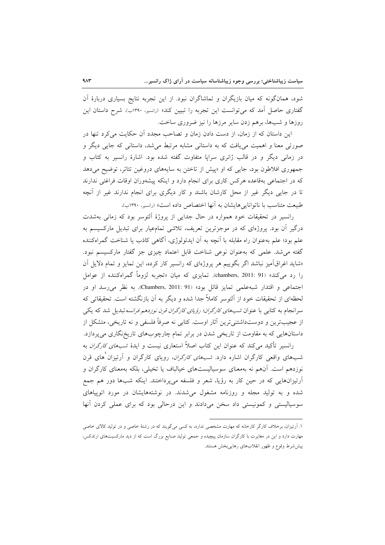شود، همانگونه که میان بازیگران و تماشاگران نبود. از این تجربه نتایج بسیاری دربارهٔ اَن گفتاری حاصل آمد که می توانست این تجربه را تبیین کند» (رانسیر، ۱۳۹۰ب). شرح داستان این روزها و شبها، برهم زدن سایر مرزها را نیز ضروری ساخت.

این داستان که از زمان، از دست دادن زمان و تصاحب مجدد آن حکایت میکرد تنها در صورتی معنا و اهمیت می یافت که به داستانی مشابه مرتبط می شد، داستانی که جایی دیگر و در زمانی دیگر و در قالب ژانری سرایا متفاوت گفته شده بود. اشارهٔ رانسیر به کتاب و جمهوری افلاطون بود، جایی که او «پیش از تاختن به سایههای دروغین تئاتر، توضیح می دهد که در اجتماعی بهقاعده هرکس کاری برای انجام دارد و اینکه پیشهوران اوقات فراغتی ندارند تا در جایی دیگر غیر از محل کارشان باشند و کار دیگری برای انجام ندارند غیر از آنچه طبيعت متناسب با ناتوانايي هايشان به آنها اختصاص داده است» (رانسير، ١٣٩٠).

رانسیر در تحقیقات خود همواره در حال جدایی از پروژهٔ التوسر بود که زمانی بهشدت درگیر أن بود. پروژهای که در موجزترین تعریف، تلاشی تمام،یار برای تبدیل مارکسیسم به علم بود؛ علم بهعنوان راه مقابله با آنچه به آن ایدئولوژی، آگاهی کاذب یا شناخت گمراهکننده گفته می شد. علمی که بهعنوان نوعی شناخت قابل اعتماد چیزی جز گفتار مارکسیسم نبود. «شاید اغراقآمیز نباشد اگر بگوییم هر پروژهای که رانسیر کار کرده، این تمایز و تمام دلایل آن را رد میکند» (chambers, 2011: 91). تمایزی که میان «تجربه لزوماً گمراهکننده از عوامل اجتماعی و اقتدار شبه علمی تمایز قائل بود» (Chambers, 2011: 91). به نظر می رسد او در لحظهای از تحقیقات خود از اَلتوسر کاملاً جدا شده و دیگر به اَن بازنگشته است. تحقیقاتی که سرانجام به کتابی با عنوان *شبهای کارگران؛ رؤیای کارگران قرن نوزدهم فرانسه تبد*یل شد که یکی از عجیبترین و دوستداشتنیترین آثار اوست. کتابی نه صرفاً فلسفی و نه تاریخی، متشکل از داستانهایی که به مقاومت از تاریخی شدن در برابر تمام چارچوبهای تاریخنگاری میپردازد.

رانسیر تأکید می کند که عنوان این کتاب اصلاً استعاری نیست و ایدهٔ *شبهای کارگران* به شبهای واقعی کارگران اشاره دارد. *شبهای کارگران*، رویای کارگران و آرتیزان های قرن نوزدهم است. آنهم نه بهمعنای سوسیالیستهای خیالباف یا تخیلی، بلکه بهمعنای کارگران و آرتیزانهایی که در حین کار به رؤیا، شعر و فلسفه میپرداختند. اینکه شبها دور هم جمع شده و به تولید مجله و روزنامه مشغول می شدند. در نوشتههایشان در مورد اتوپیاهای سوسیالیستی و کمونیستی داد سخن میدادند و این درحالی بود که برای عملی کردن آنها

۱. آرتیزان، برخلاف کارگر کارخانه که مهارت مشخصی ندارد، به کسی میگویند که در رشتهٔ خاصی و در تولید کالای خاصی مهارت دارد و این در مغایرت با کارگران سازمان پیچیده و جمعی تولید صنایع بزرگ است که از دید مارکسیتهای ارتدکس، پیششرط وقوع و ظهور انقلابهای رهاییبخش هستند.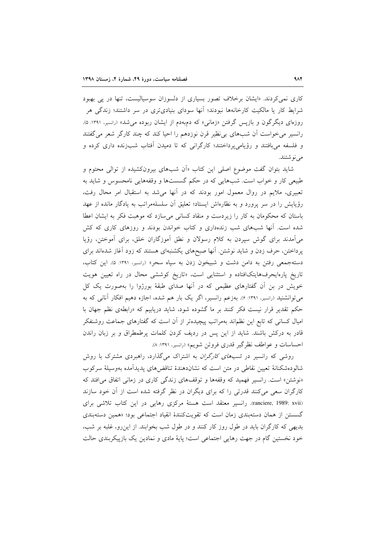کاری نمی کردند. «ایشان برخلاف تصور بسیاری از دلسوزان سوسیالیست، تنها در پی بهبود شرایط کار یا مالکیت کارخانهها نبودند؛ آنها سودای بنیادیءتی در سر داشتند؛ زندگی هر روزهای دیگر گون و بازیس گرفتن «زمانی» که دمبهدم از ایشان ربوده میشد» (رانسیر، ۱۳۹۱: ۵). رانسیر میخواست آن شبهای بی نظیر قرن نوزدهم را احیا کند که چند کارگر شعر می گفتند و فلسفه می بافتند و رؤیامی پرداختند؛ کارگرانی که تا دمیدن آفتاب شبزنده داری کرده و می نو شتند.

شاید بتوان گفت موضوع اصلی این کتاب «اَن شبهای بیرونکشیده از توال<sub>ی</sub> محتوم و طبیعی کار و خواب است. شبهایی که در حکم گسستها و وقفههایی نامحسوس و شاید به تعبیری، ملایم در روال معمول امور بودند که در آنها میشد به استقبال امر محال رفت، رؤیایش را در سر پرورد و به نظارهاش ایستاد؛ تعلیق آن سلسلهمراتب به یادگار مانده از عهد باستان که محکومان به کار را زیردست و منقاد کسانی می سازد که موهبت فکر به ایشان اعطا شده است. آنها شبهای شب زندهداری و کتاب خواندن بودند و روزهای کاری که کش میآمدند برای گوش سپردن به کلام رسولان و نطق آموزگاران خلق، برای آموختن، رؤیا پرداختن، حرف زدن و شاید نوشتن. آنها صبحهای یکشنبهای هستند که زود آغاز شدهاند برای دستهجمعي رفتن به دامن دشت و شبيخون زدن به سپاه سحر» (رانسير، ١٣٩١: ۵). اين كتاب، تاریخ پارهایحرفهایتکافتاده و استثنایی است، «تاریخ کوششی محال در راه تعیین هویت خویش در بن آن گفتارهای عظیمی که در آنها صدای طبقهٔ بورژوا را بهصورت یک کل میتوانشنید (رانسیر، ۱۳۹۱: ۶). بهزعم رانسیر، اگر یک بار هم شده، اجازه دهیم افکار آنانی که به حکم تقدیر قرار نیست فکر کنند بر ما گشوده شود، شاید دریابیم که «رابطهی نظم جهان با امیال کسانی که تابع این نظماند بهمراتب پیچیدهتر از آن است که گفتارهای جماعت روشنفکر قادر به درکش باشند. شاید از این پس در ردیف کردن کلمات پرطمطراق و بر زبان راندن احساسات و عواطف نظرگیر قدری فروتن شویم» (رانسیر، ۱۳۹۱: ۸).

روشی که رانسیر در *شبهای کارگران* به اشتراک میگذارد، راهبردی مشترک با روش شالودهشکنانهٔ تعیین نقاطی در متن است که نشاندهندهٔ تناقضهای پدیدآمده بهوسیلهٔ سرکوب «نوشتن» است. رانسیر فهمید که وقفهها و توقفهای زندگی کاری در زمانی اتفاق می افتد که کارگران سعی می کنند قدرتی را که برای دیگران در نظر گرفته شده است از آن خود سازند (ranciere, 1989: xvii). رانسير معتقد است هستهٔ مركزي رهايي در اين كتاب تلاشي براي گسستن از همان دستهبندی زمان است که تقویتکنندهٔ انقیاد اجتماعی بود؛ «همین دستهبندی بدیهی که کارگران باید در طول روز کار کنند و در طول شب بخوابند. از این رو، غلبه بر شب، خود نخستین گام در جهت رهایی اجتماعی است؛ پایهٔ مادی و نمادین یک بازپیکربندی حالت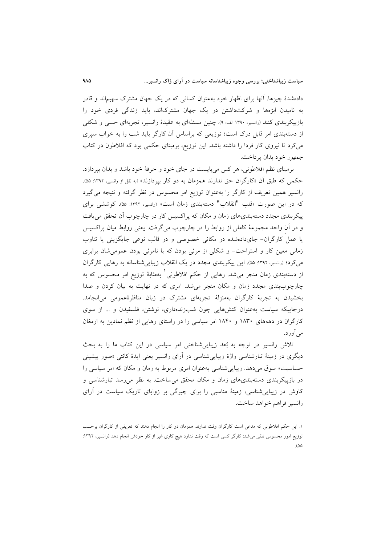دادهشدهٔ چیزها. آنها برای اظهار خود بهعنوان کسانی که در یک جهان مشترک سهیماند و قادر به نامیدن ایژهها و شرکتداشتن در یک جهان مشترکاند، باید زندگی فردی خود را بازپیکربندی کنند (رانسیر، ۱۳۹۰ الف: ۹). چنین مسئلهای به عقیدهٔ رانسیر، تجربهای حسی و شکلی از دستهبندی امر قابل درک است؛ توزیعی که براساس آن کارگر باید شب را به خواب سیری می کرد تا نیروی کار فردا را داشته باشد. این توزیع، برمبنای حکمی بود که افلاطون در کتاب *جمهور* خود بدان پرداخت.

برمبنای نظم افلاطونی، هر کس می بایست در جای خود و حرفهٔ خود باشد و بدان بیردازد. حکمی که طبق آن «کارگران حق ندارند همزمان به دو کار بیردازند» (به نقل از رانسیر، ۱۳۹۲: ۵۵). رانسیر همین تعریف از کارگر را بهعنوان توزیع امر محسوس در نظر گرفته و نتیجه میگیرد که در این صورت «قلب "انقلاب" دستهبندی زمان است» (رانسیر، ۱۳۹۲: ۵۵). کوششی برای پیکربندی مجدد دستهبندیهای زمان و مکان که پراکسیس کار در چارچوب اَن تحقق می یافت و در أن واحد مجموعهٔ کاملی از روابط را در چارچوب میگرفت. یعنی روابط میان پراکسیس یا عمل کارگران- جایدادهشده در مکانی خصوصی و در قالب نوعی جایگزینی یا تناوب زمانی معین کار و استراحت- و شکلی از مرئی بودن که با نامرئی بودن عمومی شان برابری میکرد؛ (رانسیر، ۱۳۹۲: ۵۵). این پیکربندی مجدد در یک انقلاب زیبایی شناسانه به رهایی کارگران از دستهبندی زمان منجر میشد. رهایی از حکم افلاطونی ٰ بهمثابهٔ توزیع امر محسوس که به چارچوببندی مجدد زمان و مکان منجر میشد. امری که در نهایت به بیان کردن و صدا بخشیدن به تجربهٔ کارگران بهمنزلهٔ تجربهای مشترک در زبان مناظرهٔعمومی می(نجامد. درجاییکه سیاست بهعنوان کنشهایی چون شبزندهداری، نوشتن، فلسفیدن و … از سوی کارگران در دهههای ۱۸۳۰ و ۱۸۴۰ امر سیاسی را در راستای رهایی از نظم نمادین به ارمغان مي آورد.

تلاش رانسیر در توجه به بُعد زیباییشناختی امر سیاسی در این کتاب ما را به بحث دیگری در زمینهٔ تبارشناسی واژهٔ زیباییشناسی در اَرای رانسیر یعنی ایدهٔ کانتی «صور پیشینی حساسیت» سوق میدهد. زیباییشناسی بهعنوان امری مربوط به زمان و مکان که امر سیاسی را در بازپیکربندی دستهبندیهای زمان و مکان محقق می ساخت. به نظر می رسد تبارشناسی و کاوش در زیبایی شناسی، زمینهٔ مناسبی را برای چیرگی بر زوایای تاریک سیاست در آرای رانسير فراهم خواهد ساخت.

۱. این حکم افلاطونی که مدعی است کارگران وقت ندارند همزمان دو کار را انجام دهند که تعریفی از کارگران برحسب توزیع امور محسوس تلقی می شد: کارگر کسی است که وقت ندارد هیچ کاری غیر از کار خودش انجام دهد (رانسیر، ۱۳۹۲:  $(\Delta \Delta)$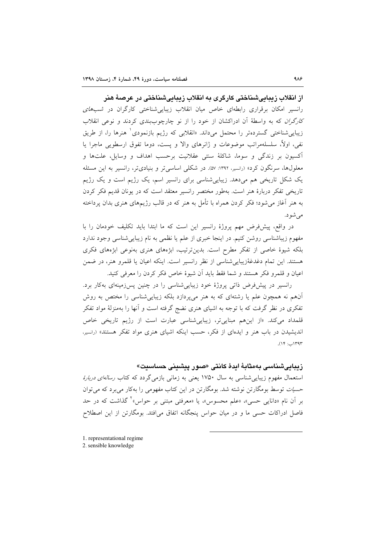از انقلاب زیباییشناختی کارگری به انقلاب زیباییشناختی در عرصهٔ هنر رانسیر امکان برقراری رابطهای خاص میان انقلاب زیبایی شناختی کارگران در *شبهای کارگران* که به واسطهٔ آن ادراکشان از خود را از نو چارچوببندی کردند و نوعی انقلاب زیبایی شناختی گستردهتر را محتمل میداند. «انقلابی که رژیم بازنمودی<sup>۱</sup> هنرها را، از طریق نفي، اولاً، سلسلهمراتب موضوعات و ژانرهاي والا و يست، دوما تفوق ارسطويي ماجرا يا آکسیون بر زندگی و سوما، شاکلهٔ سنتی عقلانیت برحسب اهداف و وسایل، علتها و معلولها، سرنگون کرد» (رانسیر، ۱۳۹۲: ۵۷). در شکلی اساسی تر و بنیادیتر، رانسیر به این مسئله یک شکل تاریخی هم میدهد. زیباییشناسی برای رانسیر اسم، یک رژیم است و یک رژیم تاریخی تفکر دربارهٔ هنر است. بهطور مختصر رانسیر معتقد است که در یونان قدیم فکر کردن به هنر آغاز می شود؛ فکر کردن همراه با تأمل به هنر که در قالب رژیمهای هنری بدان پرداخته می شو د.

در واقع، پیش فرض مهم پروژهٔ رانسیر این است که ما ابتدا باید تکلیف خودمان را با مفهوم زیباشناسی روشن کنیم. در اینجا خبری از علم یا نظمی به نام زیبایی شناسی وجود ندارد بلکه شیوهٔ خاصی از تفکر مطرح است. بدینترتیب، ابژههای هنری بهنوعی ابژههای فکری هستند. این تمام دغدغهٔزیباییشناسی از نظر رانسیر است. اینکه اعیان یا قلمرو هنر، در ضمن اعيان و قلمرو فكر هستند و شما فقط بايد أن شيوهٔ خاص فكر كردن را معرفي كنيد.

رانسیر در پیش فرض ذاتی پروژهٔ خود زیبایی شناسی را در چنین پس زمینهای بهکار برد. آنهم نه همچون علم یا رشتهای که به هنر میپردازد بلکه زیباییشناسی را مختص به روش تفکری در نظر گرفت که با توجه به اشیای هنری نضج گرفته است و آنها را بهمنزلهٔ مواد تفکر قلمداد میکند. «از اینهم مبناییتر، زیباییشناسی عبارت است از رژیم تاریخی خاص اندیشیدن در باب هنر و ایدهای از فکر، حسب اینکه اشیای هنری مواد تفکر هستند» (رانسیر، ١٣٩٣(ب: ١٢).

### زيبايىشناسى بەمثابة ايدة كانتى «صور ييشينى حساسيت»

استعمال مفهوم زیبایی شناسی به سال ۱۷۵۰ یعنی به زمانی بازمیگردد که کتاب *رسالهای دربارهٔ حسیات* توسط بومگارتن نوشته شد. بومگارتن در این کتاب مفهومی را بهکار می برد که می توان بر آن نام «دانایی حسبی»، «علم محسوس»، یا «معرفتی مبتنی بر حواس» کمخداشت که در حد فاصل ادراکات حسی ما و در میان حواس پنجگانه اتفاق می|فتد. بومگارتن از این اصطلاح

1. representational regime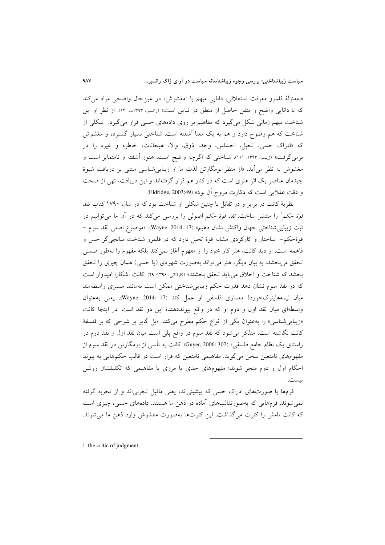«بهمنزلة قلمرو معرفت استعلالي، دانايي مبهم يا «مغشوش» در عين حال واضحى مراد مي كند که با دانایی واضح و متقن حاصل از منطق در تباین است» (رانسیر، ۱۳۹۳ب: ۱۴). از نظر او این شناخت مبهم زمانی شکل میگیرد که مفاهیم بر روی دادههای حسی قرار میگیرد. شکلی از شناخت که هم وضوح دارد و هم به یک معنا آشفته است. شناختی بسیار گسترده و مغشوش که «ادراک حسی، تخیل، احساس، وجد، ذوق، والا، هیجانات، خاطره و غیره را در برمیگرفت» (ژیمنر، ۱۳۹۳: ۱۱۱). شناختی که اگرچه واضح است، هنوز آشفته و نامتمایز است و مغشوش به نظر می آید. «از منظر بومگارتن لذت ما از زیبایی شناسی مبتنی بر دریافت شیوهٔ چیدمان عناصر یک اثر هنری است که در کنار هم قرار گرفتهاند و این دریافت، تهی از صحت و دقت عقلایی است که دکارت مروج آن بود» (Eldridge, 2003:49).

نظریهٔ کانت در برابر و در تقابل با چنین شکلی از شناخت بود که در سال ۱۷۹۰ کتاب *نقد* قوهٔ حکم ٰ را منتشر ساخت. *نقد قوهٔ حکم* اصولی را بررسی میکند که در آن ما می توانیم در ثبت زيبايي شناختي جهان واكنش نشان دهيم» (Wayne, 2014: 17). «موضوع اصلي نقد سوم – قوهٔحکم- ساختار و کارکردی مشابه قوهٔ تخیل دارد که در قلمرو شناخت میانجیگر حس و فاهمه است. از دید کانت، هنر کار خود را از مفهوم آغاز نمی کند بلکه مفهوم را بهطور ضمنی تحقق میبخشد، به بیان دیگر، هنر میتواند بهصورت شهودی (یا حسی) همان چیزی را تحقق بخشد که شناخت و اخلاق می باید تحقق بخشند» (کاراتانی، ۱۳۹۶: ۴۹). کانت آشکارا امیدوار است که در نقد سوم نشان دهد قدرت حکم زیبایی شناختی ممکن است بهمانند مسیری واسطهمند ميان نيمههايتركخوردة معمارى فلسفى او عمل كند (Wayne, 2014: 17). يعنى به عنوان واسطهای میان نقد اول و دوم او که در واقع پیونددهندهٔ این دو نقد است. در اینجا کانت «زیباییشناسی» را بهعنوان یکی از انواع حکم مطرح میکند. «پل گایر بر شرحی که بر فلسفهٔ کانت نگاشته است، متذکر می شود که نقد سوم در واقع پلی است میان نقد اول و نقد دوم در راستای یک نظام جامع فلسفی» (Guyer, 2006: 307). کانت به تأسی از بومگارتن در نقد سوم از مفهومهای نامتعین سخن میگوید. مفاهیمی نامتعین که قرار است در قالب حکمهایی به پیوند احکام اول و دوم منجر شوند؛ مفهومهای حدی یا مرزی یا مفاهیمی که تکلیفشان روشن .<br>نست.

فرمها یا صورتهای ادراک حسی که پیشینیاند، یعنی ماقبل تجربی اند و از تجربه گرفته نمی شوند. فرمهایی که بهصورتقالبهای آماده در ذهن ما هستند. دادههای حسی، چیزی است كه كانت نامش را كثرت مى گذاشت. اين كثرتها بهصورت مغشوش وارد ذهن ما مى شوند.

1. the critic of judgment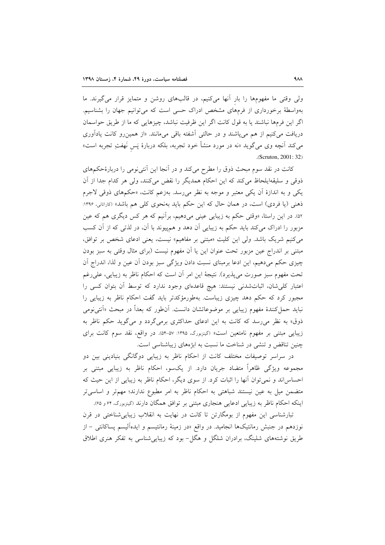ولی وقتی ما مفهومها را بار آنها میکنیم، در قالبهای روشن و متمایز قرار میگیرند. ما بهواسطهٔ برخورداری از فرمهای مشخص ادراک حسبی است که می توانیم جهان را بشناسیم. اگر این فرمها نباشند یا به قول کانت اگر این ظرفیت نباشد، چیزهایی که ما از طریق حواسمان دریافت میکنیم از هم می پاشند و در حالتی آشفته باقی میمانند. «از همین رو کانت یادآوری می کند آنچه وی میگوید «نه در مورد منشأ خود تجربه، بلکه دربارهٔ پَس نَهفتِ تجربه است» .(Scruton, 2001: 32)

کانت در نقد سوم مبحث ذوق را مطرح میکند و در آنجا این آنتی $نومی را دربارهٔحکمهای$ ذوقی و سلیقهایلحاظ میکند که این احکام همدیگر را نقض میکنند، ولی هر کدام جدا از آن یکی و به اندازهٔ آن یکی معتبر و موجه به نظر می رسد. بهزعم کانت، «حکمهای ذوقی لاجرم ذهنی (یا فردی) است، در همان حال که این حکم باید بهنحوی کلی هم باشد» (کارانانی، ۱۳۹۶: ۵۲). در این راستا، «وقتی حکم به زیبایی عینی میدهیم، برآنیم که هر کس دیگری هم که عین مزبور را ادراک میکند باید حکم به زیبایی آن دهد و همپیوند با آن، در لذتی که از آن کسب می کنیم شریک باشد. ولی این کلیت «مبتنی بر مفاهیم» نیست، یعنی ادعای شخص بر توافق، مبتنی بر اندراج عین مزبور تحت عنوان این یا آن مفهوم نیست (برای مثال وقتی به سبز بودن چیزی حکم میدهیم، این ادعا برمبنای نسبت دادن ویژگی سبز بودن آن عین و لذا، اندراج آن تحت مفهوم سبز صورت مى پذيرد). نتيجهٔ اين امر آن است كه احكام ناظر به زيبايي، على رغم اعتبار کلی شان، اثبات شدنی نیستند: هیچ قاعدهای وجود ندارد که توسط أن بتوان کسی را مجبور کرد که حکم دهد چیزی زیباست. بهطورمؤکدتر باید گفت احکام ناظر به زیبایی را نبايد حمل كنندهٔ مفهوم زيبايي بر موضوعاتشان دانست. آنطور كه بعداً در مبحث «آنتيiومي ذوق» به نظر میرسد که کانت به این ادعای حداکثری برمیگردد و میگوید حکم ناظر به زیبایی مبتنی بر مفهوم نامتعین است» (گینزبورگ، ۱۳۹۵: ۵۲-۵۴). در واقع، نقد سوم کانت برای چنین تناقض و تنشی در شناخت ما نسبت به ابزههای زیباشناسی است.

در سراسر توصیفات مختلف کانت از احکام ناظر به زیبایی دوگانگی بنیادینی بین دو مجموعه ویژگی ظاهراً متضاد جریان دارد. از یکسو، احکام ناظر به زیبایی مبتنی بر احساس اند و نمي توان أنها را اثبات كرد. از سوى ديگر، احكام ناظر به زيبايي از اين حيث كه متضمن میل به عین نیستند شباهتی به احکام ناظر به امر مطبوع ندارند؛ مهمتر و اساسی تر اینکه احکام ناظر به زیبایی ادعایی هنجاری مبتنی بر توافق همگان دارند (گینزبورگ، ۶۴ و ۶۵).

تبارشناسی این مفهوم از بومگارتن تا کانت در نهایت به انقلاب زیبایی شناختی در قرن نوزدهم در جنبش رمانتیکها انجامید. در واقع «در زمینهٔ رمانتیسم و ایدهآلیسم پساکانتی – از طریق نوشتههای شلینگ، برادران شلگل و هگل- بود که زیبایی شناسی به تفکر هنری اطلاق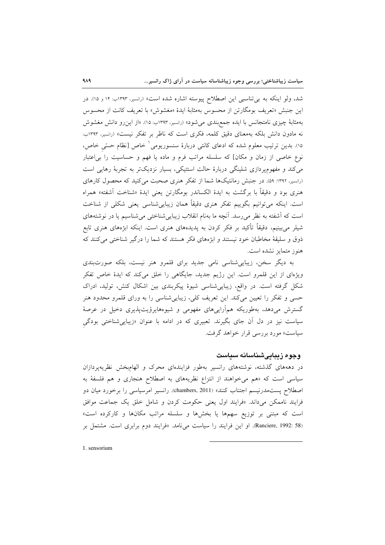شد، ولو اینکه به بی تناسبی این اصطلاح پیوسته اشاره شده است» (رانسیر، ۱۳۹۳ب: ۱۴ و ۱۵). در اين جنبش «تعريف بومگارتن از محسوس بهمثابهٔ ايدهٔ «مغشوش» با تعريف كانت از محسوس بهمثابهٔ چیزی نامتجانس با ایده جمع بندی میشود» (رانسیر، ۱۳۹۳ب: ۱۵). «از این رو دانش مغشوش نه مادون دانش بلکه بهمعنای دقیق کلمه، فکری است که ناظر بر تفکر نیست» (رانسیر، ۱۳۹۳ب: ۱۵). بدین ترتیب معلوم شده که ادعای کانتی دربارهٔ سنسوریومی ٔ خاص [نظام حسّی خاص، نوع خاصی از زمان و مکان] که سلسله مراتب فرم و ماده یا فهم و حساسیت را بی|عتبار می کند و مفهومپردازی شلینگی دربارهٔ حالت استتیکی، بسیار نزدیکتر به تجربهٔ رهایی است (رانسیر، ۱۳۹۲: ۵۹). در جنبش رمانتیکها شما از تفکر هنری صحبت می کنید که محصول کارهای هنری بود و دقیقاً با برگشت به ایدهٔ الکساندر بومگارتن یعنی ایدهٔ «شناخت اَشفته» همراه است. اینکه می توانیم بگوییم تفکر هنری دقیقاً همان زیبایی شناسی یعنی شکلی از شناخت است که آشفته به نظر می رسد. آنچه ما بهنام انقلاب زیبایی شناختی می شناسیم یا در نوشتههای شیلر میبینیم، دقیقاً تأکید بر فکر کردن به پدیدههای هنری است. اینکه ابژههای هنری تابع ذوق و سلیقهٔ مخاطبان خود نیستند و ابژههای فکر هستند که شما را درگیر شناختی میکنند که هنوز متمايز نشده است.

به دیگر سخن، زیباییشناسی نامی جدید برای قلمرو هنر نیست، بلکه صورتبندی ویژِهای از این قلمرو است. این رژیم جدید، جایگاهی را خلق می کند که ایدهٔ خاص تفکر شکل گرفته است. در واقع، زیبایی شناسی شیوهٔ پیکربندی بین اشکال کنش، تولید، ادراک حسی و تفکر را تعیین میکند. این تعریف کلی، زیباییشناسی را به ورای قلمرو محدود هنر گسترش میدهد، بهطوریکه همآراییهای مفهومی و شیوههایرؤیتپذیری دخیل در عرصهٔ سیاست نیز در دل آن جای بگیرند. تعبیری که در ادامه با عنوان «زیباییشناختی بودگی سیاست» مورد بررسی قرار خواهد گرفت.

## وجوه زيبايئشناسانه سياست

در دهههای گذشته، نوشتههای رانسیر بهطور فزایندهای محرک و الهامبخش نظریهپردازان سیاسی است که «هم می خواهند از انتزاع نظریههای به اصطلاح هنجاری و هم فلسفهٔ به اصطلاح پست.مدرنیسم اجتناب کنند» (chambers, 2011). رانسیر امرسیاسی را برخورد میان دو فرايند ناممكن مي داند. «فرايند اول يعني حكومت كردن و شامل خلق يك جماعت موافق است که مبتنی بر توزیع سهمها یا بخشها و سلسله مراتب مکانها و کارکرده است» (Ranciere, 1992: 58). او این فرایند را سیاست می نامد. «فرایند دوم برابری است. مشتمل بر

1. sensorium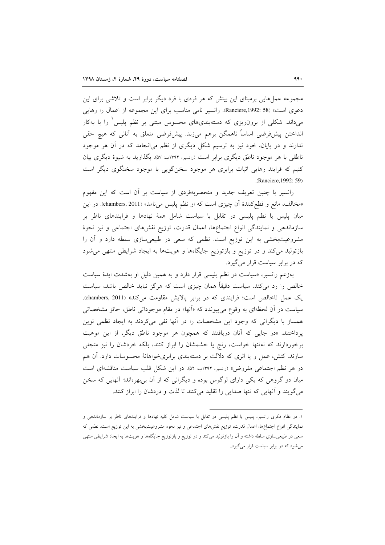مجموعه عملهایی برمبنای این بینش که هر فردی با فرد دیگر برابر است و تلاشی برای این دعوی است» (Ranciere,1992: 58). رانسبر نامی مناسب برای این مجموعه از اعمال را رهایی میداند. شکلی از برون٫یزی که دستهبندیهای محسوس مبتنی بر نظم پلیس ٰ را با بهکار انداختن پیشفرضی اساساً ناهمگن برهم میزند. پیشفرضی متعلق به آنانی که هیچ حقی ندارند و در پایان، خود نیز به ترسیم شکل دیگری از نظم میانجامد که در آن هر موجود ناطقی با هر موجود ناطق دیگری برابر است (رانسیر، ۱۳۹۴ب: ۵۷). بگذارید به شیوهٔ دیگری بیان کنیم که فرایند رهایی اثبات برابری هر موجود سخنگویی با موجود سخنگوی دیگر است .(Ranciere, 1992: 59)

رانسیر با چنین تعریف جدید و منحصربهفردی از سیاست بر آن است که این مفهوم «مخالف، مانع و قطع كنندهٔ آن چيزي است كه او نظم پليس مي نامد» (chambers, 2011). در اين میان پلیس یا نظم پلیسی در تقابل با سیاست شامل همهٔ نهادها و فرایندهای ناظر بر سازماندهی و نمایندگی انواع اجتماعها، اعمال قدرت، توزیع نقشهای اجتماعی و نیز نحوهٔ مشروعیتبخشی به این توزیع است. نظمی که سعی در طبیعیسازی سلطه دارد و آن را بازتولید می کند و در توزیع و بازتوزیع جایگاهها و هویتها به ایجاد شرایطی منتهی می شود که در برابر سیاست قرار میگیرد.

بهزعم رانسیر، «سیاست در نظم پلیسی قرار دارد و به همین دلیل او بهشدت ایدهٔ سیاست خالص را رد میکند. سیاست دقیقاً همان چیزی است که هرگز نباید خالص باشد، سیاست یک عمل ناخالص است؛ فرایندی که در برابر پالایش مقاومت میکند» (chambers, 2011). سیاست در آن لحظهای به وقوع می پیوندد که «آنها» در مقام موجوداتی ناطق، حائز مشخصاتی همساز با دیگرانی که وجود این مشخصات را در آنها نفی میکردند به ایجاد نظمی نوین پرداختند. «در جایی که آنان دریافتند که همچون هر موجود ناطق دیگر، از این موهبت برخوردارند که نهتنها خواست، رنج یا خشمشان را ابراز کنند، بلکه خردشان را نیز متجلی سازند. کنش، عمل و یا اثری که دلالت بر دستهبندی برابریخواهانهٔ محسوسات دارد. آن هم در هر نظم اجتماعی مفروض» (رانسیر، ۱۳۹۴ب: ۵۲). در این شکل قلب سیاست مناقشهای است میان دو گروهی که یکی دارای لوگوس بوده و دیگرانی که از آن بیبهرهاند؛ آنهایی که سخن می گویند و آنهایی که تنها صدایی را تقلید می کنند تا لذت و دردشان را ابراز کنند.

۱. در نظام فکری رانسیر، پلیس یا نظم پلیسی در تقابل با سیاست شامل کلیه نهادها و فرایندهای ناظر بر سازماندهی و نمایندگی انواع اجتماعها، اعمال قدرت، توزیع نقشهای اجتماعی و نیز نحوه مشروعیتبخشی به این توزیع است. نظمی که سعی در طبیعی سازی سلطه داشته و آن را بازتولید میکند و در توزیع و بازتوزیع جایگاهها و هویتها به ایجاد شرایطی منتهی میشود که در برابر سیاست قرار میگیرد..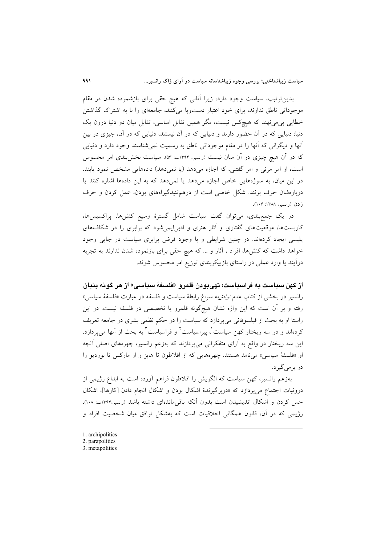بدین ترتیب، سیاست وجود دارد، زیرا آنانی که هیچ حقی برای بازشمرده شدن در مقام موجوداتی ناطق ندارند، برای خود اعتبار دستویا میکنند، جامعهای را با به اشتراک گذاشتن خطایی پی مینهند که هیچکس نیست، مگر همین تقابل اساسی، تقابل میان دو دنیا درون یک دنیا: دنیایی که در آن حضور دارند و دنیایی که در آن نیستند، دنیایی که در آن، چیزی در بین آنها و دیگرانی که آنها را در مقام موجوداتی ناطق به رسمیت نمی شناسند وجود دارد و دنیایی که در آن هیچ چیزی در آن میان نیست (رانسیر، ۱۳۹۴ب: ۵۳). سیاست بخش بندی امر محسوس است، از امر مرئي و امر گفتني، كه اجازه ميدهد (يا نمي دهد) دادههايي مشخص نمود يابند. در این میان، به سوژههایی خاص اجازه میدهد یا نمی دهد که به این دادهها اشاره کنند یا دربارهشان حرف بزنند. شکل خاصی است از درهمتنیدگیراههای بودن، عمل کردن و حرف ز دن (رانسبر، ۱۳۸۸: ۱۰۶).

در یک جمع بندی، می توان گفت سیاست شامل گسترهٔ وسیع کنشها، پراکسیسها، کاربستها، موقعیتهای گفتاری و آثار هنری و ادبی|یمیشود که برابری را در شکافهای پلیسی ایجاد کردهاند. در چنین شرایطی و با وجود فرض برابری سیاست در جایی وجود خواهد داشت که کنشها، افراد ، آثار و … که هیچ حقی برای بازنموده شدن ندارند به تجربه درآیند یا وارد عملی در راستای بازپیکربندی توزیع امر محسوس شوند.

از كهن سياست به فراسياست؛ تهىبودن قلمرو «فلسغهٔ سياسي» از هر گونه بنيان رانسیر در بخشی از کتاب *عدم توافق*به سراغ رابطهٔ سیاست و فلسفه در عبارت «فلسفهٔ سیاسی» رفته و بر آن است که این واژه نشان هیچگونه قلمرو یا تخصصی در فلسفه نیست. در این راستا او به بحث از فیلسوفانی می $\mathbf x$ ردازد که سیاست را در حکم نظمی بشری در جامعه تعریف کردهاند و در سه ریختار کهن سیاست ْ، پیراسیاست ْ و فراسیاست ّ به بحث از آنها می پردازد. این سه ریختار در واقع به آرای متفکرانی میپردازند که بهزعم رانسیر، چهرههای اصلی آنچه او «فلسفهٔ سیاسی» میiامد هستند. چهرههایی که از افلاطون تا هابز و از مارکس تا بوردیو را در بر می گیر د.

بهزعم رانسیر، کهن سیاست که الگویش را افلاطون فراهم آورده است به ابداع رژیمی از درونیات اجتماع می پردازد که «دربرگیرندهٔ اشکال بودن و اشکال انجام دادن [کارها]، اشکال حس کردن و اشکال اندیشیدن است بدون آنکه باقیماندهای داشته باشد (رانسیر،۱۳۹۴ب: ۱۰۸). رژیمی که در آن، قانون همگانی اخلاقیات است که بهشکل توافق میان شخصیت افراد و

- 1. archipolitics
- 2. parapolitics
- 3. metapolitics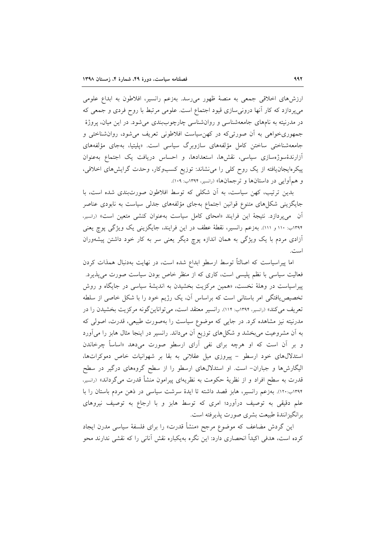ارزشهای اخلاقی جمعی به منصهٔ ظهور میرسد. بهزعم رانسیر، افلاطون به ابداع علومی می پردازد که کار آنها درونی سازی قیود اجتماع است. علومی مرتبط با روح فردی و جمعی که در مدرنیته به نامهای جامعهشناسی و روانشناسی چارچوببندی میشود. در این میان، پروژهٔ جمهوریخواهی به آن صورتیکه در کهنسیاست افلاطونی تعریف میشود، روانشناختی و جامعەشناختى ساختن كامل مۇلفەھاي سازوبرگ سياسى است. «پليتيا، بەجاي مۇلفەھاي آزارندهٔسوژهسازی سیاسی، نقشها، استعدادها، و احساس دریافت یک اجتماع بهعنوان پیکرهایجان یافته از یک روح کلی را می نشاند: توزیع کسبوکار، وحدت گرایش های اخلاقی، و همآوایی در داستانها و ترجمانها» (رانسیر، ۱۳۹۴ب: ۱۰۹).

بدین ترتیب، کهن سیاست، به اَن شکلی که توسط افلاطون صورتبندی شده است، با جایگزینی شکلهای متنوع قوانین اجتماع بهجای مؤلفههای جدلی سیاست به نابودی عناصر آن می پردازد. نتیجهٔ این فرایند «امحای کامل سیاست بهعنوان کنشی متعین است» (رانسیر، ۱۳۹۴ب: ۱۱۰ و ۱۱۱). بهزعم رانسیر، نقطهٔ عطف در این فرایند، جایگزینی یک ویژگی پوچ یعنی آزادی مردم با یک ویژگی به همان اندازه پوچ دیگر یعنی سر به کار خود داشتن پیشهوران است.

اما پیراسیاست که اصالتاً توسط ارسطو ابداع شده است، در نهایت بهدنبال همذات کردن فعالیت سیاسی با نظم پلیسی است، کاری که از منظر خاص بودن سیاست صورت می پذیرد. پیراسیاست در وهلهٔ نخست، «همین مرکزیت بخشیدن به اندیشهٔ سیاسی در جایگاه و روش تخصیص یافتگی امر باستانی است که براساس آن، یک رژیم خود را با شکل خاصی از سلطه تعریف می کند» (رانسیر، ۱۳۹۴ب: ۱۱۴). رانسیر معتقد است، می تواناین گونه مرکزیت بخشیدن را در مدرنیته نیز مشاهده کرد. در جایی که موضوع سیاست را بهصورت طبیعی، قدرت، اصولی که به آن مشروعیت میبخشد و شکلهای توزیع آن میداند. رانسیر در اینجا مثال هابز را میآورد و بر آن است که او هرچه برای نفی آرای ارسطو صورت میدهد «اساساً چرخاندن استدلالهای خود ارسطو - پیروزی میل عقلانی به بقا بر شهوانیات خاص دموکراتها، الیگارشها و جباران- است. او استدلالهای ارسطو را از سطح گروههای درگیر در سطح قدرت به سطح افراد و از نظریهٔ حکومت به نظریهای پیرامون منشأ قدرت می گرداند» (رانسیر، ۱۳۹۴ب:۱۲۰). بهزعم رانسیر، هابز قصد داشته تا ایدهٔ سرشت سیاسی در ذهن مردم باستان را با علم دقیقی به توصیف درآورد؛ امری که توسط هابز و با ارجاع به توصیف نیروهای برانگيزانندهٔ طبيعت بشري صورت يذيرفته است.

این گردش مضاعف که موضوع مرجح «منشأ قدرت» را برای فلسفهٔ سیاسی مدرن ایجاد کرده است، هدفی اکیداً انحصاری دارد: این نگره بهیکباره نقش آنانی را که نقشی ندارند محو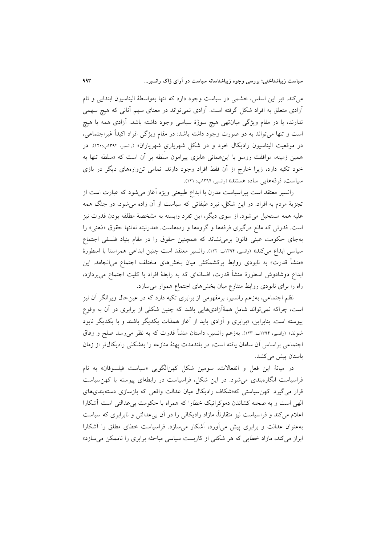می کند. «بر این اساس، خشمی در سیاست وجود دارد که تنها بهواسطهٔ الیناسیون ابتدایی و تام آزادی متعلق به افراد شکل گرفته است. آزادی نمی تواند در معنای سهم آنانی که هیچ سهمی ندارند، یا در مقام ویژگی میانتهی هیچ سوژهٔ سیاسی وجود داشته باشد. آزادی همه یا هیچ است و تنها می تواند به دو صورت وجود داشته باشد: در مقام ویژگی افراد اکیداً غیراجتماعی، در موقعیت الیناسیون رادیکال خود و در شکل شهریاری شهریاران» (رانسیر، ۱۳۹۴ب:۱۲۰). در همین زمینه، موافقت روسو با اینهمانی هابزی پیرامون سلطه بر آن است که «سلطه تنها به خود تکیه دارد، زیرا خارج از آن فقط افراد وجود دارند. تمامی تن وارههای دیگر در بازی سیاست، فرقههایی ساده هستند» (رانسیر، ۱۳۹۴ب: ۱۲۱).

رانسیر معتقد است پیراسیاست مدرن با ابداع طبیعتی ویژه آغاز میشود که عبارت است از تجزیهٔ مردم به افراد. در این شکل، نبرد طبقاتی که سیاست از آن زاده می شود، در جنگ همه عليه همه مستحيل مي شود. از سوي ديگر، اين تفرد وابسته به مشخصهٔ مطلقه بودن قدرت نيز است. قدرتی که مانع درگیری فرقهها و گروهها و ردههاست. «مدرنیته نهتنها حقوق «ذهنی» را بهجای حکومت عینی قانون برمی نشاند که همچنین حقوق را در مقام بنیاد فلسفی اجتماع سیاسی ابداع می کند» (رانسیر، ۱۳۹۴ب: ۱۲۲). رانسیر معتقد است چنین ابداعی همراستا با اسطورهٔ «منشأ قدرت» به نابودی روابط پرکشمکش میان بخشهای مختلف اجتماع می|نجامد. این ابداع دوشادوش اسطورهٔ منشأ قدرت، افسانهای که به رابطهٔ افراد با کلیت اجتماع میپردازد، راه را برای نابودی روابط متنازع میان بخشهای اجتماع هموار می سازد.

نظم اجتماعی، بهزعم رانسیر، برمفهومی از برابری تکیه دارد که در عینحال ویرانگر آن نیز است، چراکه نمی تواند شامل همهٔآزادیهایی باشد که چنین شکلی از برابری در آن به وقوع پیوسته است. بنابراین، «برابری و آزادی باید از آغاز همذات یکدیگر باشند و با یکدیگر نابود شوند» (رانسیر، ۱۳۹۴ب: ۱۲۳). بەزعم رانسیر، داستان منشأ قدرت که به نظر می٫رسد صلح و وفاق اجتماعی براساس آن سامان یافته است، در بلندمدت یهنهٔ منازعه را بهشکلی رادیکال تر از زمان باستان پیش میکشد.

در ميانهٔ اين فعل و انفعالات، سومين شكل كهنالگويي «سياست فيلسوفان» به نام فراسیاست انگارهبندی می شود. در این شکل، فراسیاست در رابطهای پیوسته با کهن سیاست قرار می گیرد. کهن سیاستی که«شکاف رادیکال میان عدالت واقعی که بازسازی دستهبندیهای الهی است و به صحنه کشاندن دموکراتیک خطارا که همراه با حکومت بی عدالتی است آشکارا اعلام می کند و فراسیاست نیز متقارناً، مازاد رادیکالی را در آن بی عدالتی و نابرابری که سیاست بهعنوان عدالت و برابری پیش می آورد، آشکار میسازد. فراسیاست خطای مطلق را آشکارا ابراز می کند، مازاد خطایی که هر شکلی از کاربست سیاسی مباحثه برابری را ناممکن می سازد»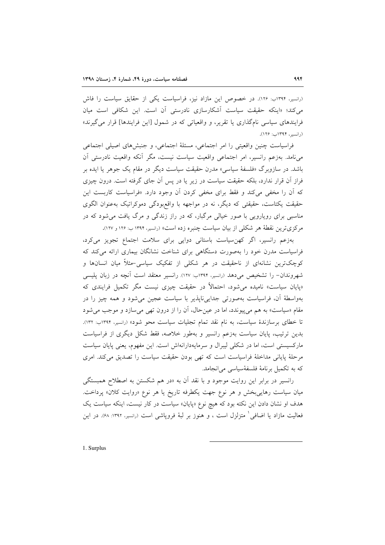(رانسیر، ۱۳۹۴ب: ۱۲۶). در خصوص این مازاد نیز، فراسیاست یکی از حقایق سیاست را فاش می کند؛ «اینکه حقیقت سیاست آشکارسازی نادرستی آن است. این شکافی است میان فرایندهای سیاسی نامگذاری یا تقریر، و واقعیاتی که در شمول [این فرایندها] قرار می گیرند» (رانسیہ، ۱۳۹۴پ: ۱۲۶).

فراسیاست چنین واقعیتی را امر اجتماعی، مسئلهٔ اجتماعی، و جنبش های اصیلی اجتماعی مینامد. بهزعم رانسیر، امر اجتماعی واقعیت سیاست نیست، مگر آنکه واقعیت نادرستی آن باشد. در سازوبرگ «فلسفهٔ سیاسی» مدرن حقیقت سیاست دیگر در مقام یک جوهر یا ایده بر فراز آن قرار ندارد، بلکه حقیقت سیاست در زیر یا در پس آن جای گرفته است. درون چیزی که آن را مخفی میکند و فقط برای مخفی کردن آن وجود دارد. «فراسیاست کاربست این حقيقت يكتاست، حقيقتي كه ديگر، نه در مواجهه با واقع بودگي دموكراتيك به عنوان الگوي مناسبی برای رویارویی با صور خیالی مرگبار، که در راز زندگی و مرگ یافت می شود که در مرکزی ترین نقطهٔ هر شکلی از بیان سیاست چنبره زده است» (رانسیر، ۱۳۹۴ ب: ۱۲۶ و ۱۲۷).

بەزعم رانسیر، اگر کھن سیاست باستانی دوایی برای سلامت اجتماع تجویز میکرد، فراسیاست مدرن خود را بهصورت دستگاهی برای شناخت نشانگان بیماری ارائه می کند که کوچکترین نشانهای از ناحقیقت در هر شکلی از تفکیک سیاسی-مثلاً میان انسانها و شهروندان- را تشخیص میدهد (رانسیر، ۱۳۹۴ب: ۱۲۷). رانسیر معتقد است آنچه در زبان پلیسی «پایان سیاست» نامیده می شود، احتمالاً در حقیقت چیزی نیست مگر تکمیل فرایندی که بهواسطهٔ اَن، فراسیاست بهصورتی جداییناپذیر با سیاست عجین میشود و همه چیز را در مقام «سیاست» به هم میپیوندد، اما در عینحال، آن را از درون تهی میسازد و موجب میشود تا خطای برسازندهٔ سیاست، به نام نقد تمام تجلیات سیاست محو شود» (رانسیر، ۱۳۹۴ب: ۱۳۲). بدین ترتیب، پایان سیاست بهزعم رانسیر و بهطور خلاصه، فقط شکل دیگری از فراسیاست مارکسیستی است، اما در شکلی لیبرال و سرمایهدارانهاش است. این مفهوم، یعنی پایان سیاست مرحلهٔ پایانی مداخلهٔ فراسیاست است که تهی بودن حقیقت سیاست را تصدیق می کند. امری كه به تكميل برنامهٔ فلسفهٔسیاسی میانجامد.

رانسیر در برابر این روایت موجود و با نقد آن به «در هم شکستن به اصطلاح همبستگی میان سیاست رهایی بخش و هر نوع جهت یکطرفه تاریخ یا هر نوع «روایت کلان» پرداخت. هدف او نشان دادن این نکته بود که هیچ نوع «پایان» سیاست در کار نیست، اینکه سیاست یک فعالیت مازاد یا اضافی ْ متزلزل است ، و هنوز بر لبهٔ فروپاشی است (رانسیر، ۱۳۹۲: ۶۸). در این

1. Surplus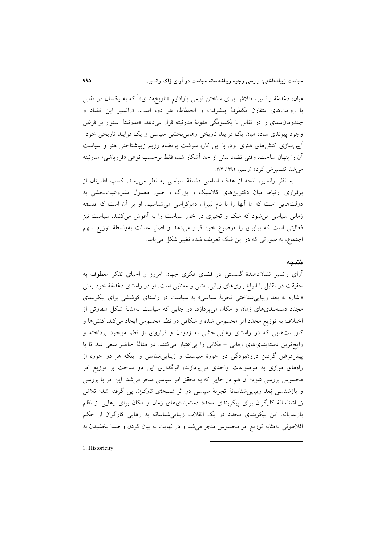میان، دغدغهٔ رانسیر، «تلاش برای ساختن نوعی پارادایم «تاریخهندی» که به یکسان در تقابل با روایتهای متقارن یکطرفهٔ پیشرفت و انحطاط، هر دو، است. «رانسیر این تضاد و چندزمان مندی را در تقابل با یکسویگی مقولهٔ مدرنیته قرار میدهد. «مدرنیتهٔ استوار بر فرض وجود پیوندی ساده میان یک فرایند تاریخی رهاییبخشی سیاسی و یک فرایند تاریخی خود اًیین سازی کنشهای هنری بود. با این کار، سرشت پرتضاد رژیم زیباشناختی هنر و سیاست آن را پنهان ساخت. وقتي تضاد بيش از حد آشكار شد، فقط برحسب نوعي «فروپاشي» مدرنيته می شد تفسیرش کرد» (رانسیر، ۱۳۹۲: ۷۳).

به نظر رانسیر، آنچه از هدف اساسی فلسفهٔ سیاسی به نظر می رسد، کسب اطمینان از برقراری ارتباط میان دکترینهای کلاسیک و بزرگ و صور معمول مشروعیتبخشی به دولتهایی است که ما آنها را با نام لیبرال دموکراسی می شناسیم. او بر آن است که فلسفه زمانی سیاسی میشود که شک و تحیری در خور سیاست را به آغوش می کشد. سیاست نیز فعالیتی است که برابری را موضوع خود قرار میدهد و اصل عدالت بهواسطهٔ توزیع سهم اجتماع، به صورتی که در این شک تعریف شده تغییر شکل می یابد.

#### نتىجە

آرای رانسیر نشاندهندهٔ گسستی در فضای فکری جهان امروز و احیای تفکر معطوف به حقیقت در تقابل با انواع بازیهای زبانی، متنی و معنایی است. او در راستای دغدغهٔ خود یعنی «اشاره به بعد زیباییشناختی تجربهٔ سیاسی» به سیاست در راستای کوششی برای پیکربندی مجدد دستهبندیهای زمان و مکان میپردازد. در جایی که سیاست بهمثابهٔ شکل متفاوتی از اختلاف به توزیع مجدد امر محسوس شده و شکافی در نظم محسوس ایجاد میکند. کنشها و کاربستهایی که در راستای رهاییبخشی به زدودن و فراروی از نظم موجود پرداخته و رایجترین دستهبندیهای زمانی - مکانی را بی اعتبار میکنند. در مقالهٔ حاضر سعی شد تا با پیشفرض گرفتن درونبودگی دو حوزهٔ سیاست و زیباییشناسی و اینکه هر دو حوزه از راههای موازی به موضوعات واحدی می پردازند، اثرگذاری این دو ساحت بر توزیع امر محسوس بررسی شود؛ آن هم در جایبی که به تحقق امر سیاسی منجر میشد. این امر با بررسی و بازشناسی بُعد زیباییشناسانهٔ تجربهٔ سیاسی در اثر *شبهای کارگران* پی گرفته شد؛ تلاش زیباشناسانهٔ کارگران برای پیکربندی مجدد دستهبندیهای زمان و مکان برای رهایی از نظم بازنمایانه. این پیکربندی مجدد در یک انقلاب زیباییشناسانه به رهایی کارگران از حکم افلاطونی بهمثابه توزیع امر محسوس منجر میشد و در نهایت به بیان کردن و صدا بخشیدن به

1. Historicity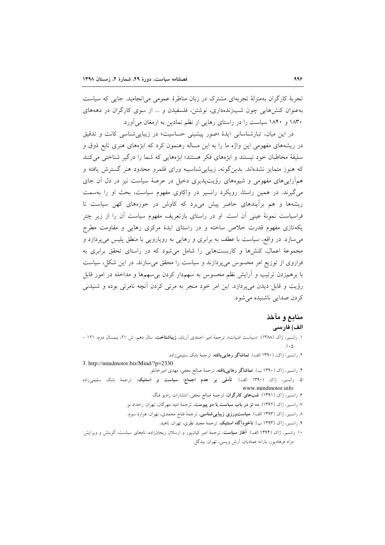تجربهٔ کارگران بهمنزلهٔ تجربهای مشترک در زبان مناظرهٔ عمومی می(نجامید. جایی که سیاست بهعنوان کنش هایی چون شب; ندهداری، نوشتن، فلسفیدن و … از سوی کارگران در دهههای ۱۸۳۰ و ۱۸۴۰ سیاست را در راستای رهایی از نظم نمادین به ارمغان می آورد.

در این میان، تبارشناسانی ایدهٔ «صور پیشینی حساسیت» در زیبایی شناسی کانت و تدقیق در ریشههای مفهومی این واژه ما را به این مساله رهنمون کرد که ابژههای هنری تابع ذوق و سليقهٔ مخاطبان خود نيستند و ابژههاي فكر هستند؛ ابژههايي كه شما را درگير شناختي مي كنند که هنوز متمایز نشدهاند. بدینگونه، زیباییشناسیبه ورای قلمرو محدود هنر گسترش یافته و همآرایی های مفهومی و شیوههای رؤیت پذیری دخیل در عرصهٔ سیاست نیز در دل آن جای میگیرند. در همین راستا، رویکرد رانسیر در واکاوی مفهوم سیاست، بحث او را بهسمت ریشهها و هم برآیندهای حاضر پیش می برد که کاوش در حوزههای کهن سیاست تا فراسیاست نمونهٔ عینی آن است. او در راستای بازتعریف مفهوم سیاست آن را از زیر چتر یکهتازی مفهوم قدرت خلاص ساخته و در راستای ایدهٔ مرکزی رهایی و مقاومت مطرح می سازد. در واقع، سیاست با عطف به برابری و رهایی به رویارویی با منطق پلیس می پردازد و مجموعهٔ اعمال، کنشها و کاربستهایی را شامل می شود که در راستای تحقق برابری به فراروی از توزیع امر محسوس میپردازند و سیاست را محقق میسازند. در این شکل، سیاست با برهمزدن ترتیب و آرایش نظم محسوس به سهمدار کردن بی سهمها و مداخله در امور قابل رؤيت و قابل ديدن مي پردازد. اين امر خود منجر به مرئي كردن آنچه نامرئي بوده و شنيدني کردن صدایی ناشنیده می شود.

#### منابع و مآخذ

#### الف) فارسى

- ۱. رانسیر، ژاک (۱۳۸۸). «سیاست ادبیات»، ترجمهٔ امیر احمدی اَریان، **زیباشناخت**، سال دهم، ش ۲۱، نیمسال دوم، ۱۲۱  $\lambda \cdot \Delta$ 
	- ۲. رانسیر، ژاک، (۱۳۹۰ الف). **تماشاگر رهایی یافته**، ترجمهٔ بابک سلیمیزاده.
- 3. http://mindmotor.biz/Mind/?p=2330 ۴. رانسیر، ژاک (۱۳۹۰ ب). **تماشاگر رهایییافته**، ترجمهٔ صالح نجفی، مهدی امیرخانلو.
- ۵. رانسیر، ژاک (۱۳۹۰ الف). **تأملی بر عدم اجماع: سیاست و استتیک**، ترجمهٔ بابک سلیمیزاده www.mindmotor.info
	- ۶. رانسیر، ژاک (۱۳۹۱). **شبهای کارگران**، ترجمهٔ صالح نجفی، انتشارات رادیو فنگ.
	- ۷. رانسیر، ژاک (۱۳۹۲). ده تز در باب سیاست با دو پیوست، ترجمهٔ امید مهرگان، تهران: رخداد نو.
	- ٨. رانسیر، ژاک (١٣٩٣ الف). **سیاستورزی زیباییشناسی**، ترجمهٔ فتاح محمدی، تهران: هزارهٔ سوم.
		- ۹. رانسیر، ژاک (۱۳۹۳ ب). **ناخودآگاه استتیک**، ترجمهٔ مجید نظری، تهران: ناهید.
- ۱۰. رانسیر، ژاک (۱۳۹۴ الف). آ**غاز سیاست**، ترجمهٔ امیر کیانپور و ارسلان ریحانزاده، نامهای سیاست، گزینش و ویرایش: مراد فرهاديور، بارانه عماديان، آرش ويسي، تهران: بيدگل.